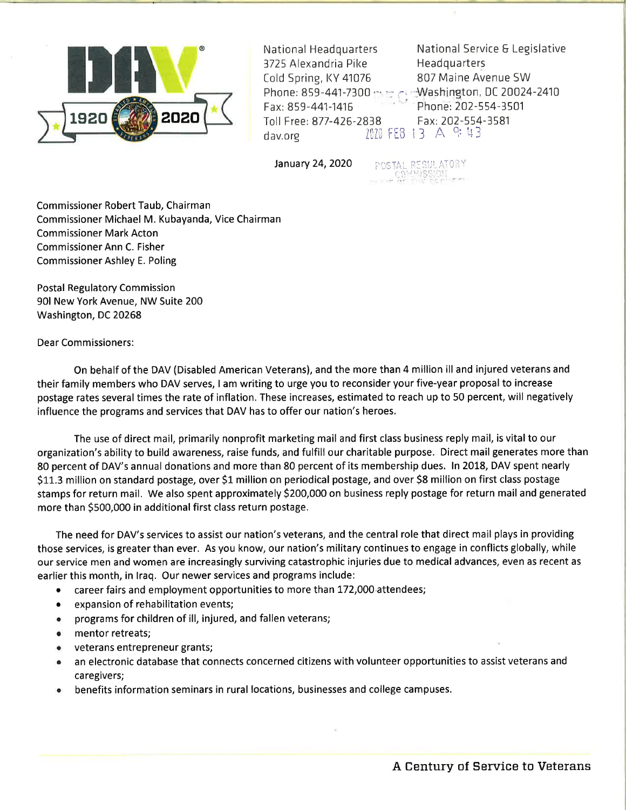

Cold Spring, KY 41076 807 Maine Avenue SW Fax: 859-441-1416 Phone: 202-554-3501 Toll Free: 877-426-2838 Fax: 202-554-3581<br>dav.org lill: FEB 13 A 9: 43

National Headquarters Mational Service & Legislative<br>3725 Alexandria Pike Headquarters

January 24, 2020 . POSTAL REGULATORY

Commissioner Robert Taub, Chairman Commissioner Michael M. Kubayanda, Vice Chairman Commissioner Mark Acton Commissioner Ann C. Fisher Commissioner Ashley E. Poling

Postal Regulatory Commission 901 New York Avenue, NW Suite 200 Washington, DC 20268

Dear Commissioners:

On behalf of the DAV (Disabled American Veterans), and the more than 4 million ill and injured veterans and their family members who DAV serves, I am writing to urge you to reconsider your five-year proposal to increase postage rates several times the rate of inflation. These increases, estimated to reach up to 50 percent, will negatively influence the programs and services that DAV has to offer our nation's heroes.

The use of direct mail, primarily nonprofit marketing mail and first class business reply mail, is vital to our organization's ability to build awareness, raise funds, and fulfill our charitable purpose. Direct mail generates more than 80 percent of DAV's annual donations and more than 80 percent of its membership dues. ln 2018, DAV spent nearly S11.3 million on standard postage, over 51 million on periodical postage, and over 58 million on first class postage stamps for return mail. We also spent approximately \$200,000 on business reply postage for return mail and generated more than 5500,000 in additional first class return postage.

The need for DAV's services to assist our nation's veterans, and the central role that direct mail plays in providing those services, is greater than ever. As you know, our nation's military continues to engage in conflicts globally, while our service men and women are increasingly surviving catastrophic injuries due to medical advances, even as recent as earlier this month, in lraq. Our newer services and programs include:

- career fairs and employment opportunities to more than 172,000 attendees;
- expansion of rehabilitation events;
- . programs for children of ill, injured, and fallen veterans;
- . mentor retreats;
- . veterans entrepreneur grants;
- . an electronic database that connects concerned citizens with volunteer opportunities to assist veterans and caregivers;
- benefits information seminars in rural locations, businesses and college campuses.